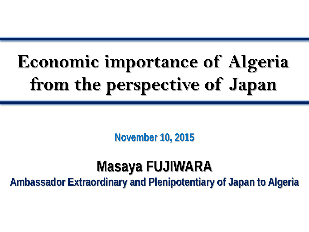# **Economic importance of Algeria from the perspective of Japan**

**November 10, 2015**

## **Masaya FUJIWARA**

**Ambassador Extraordinary and Plenipotentiary of Japan to Algeria**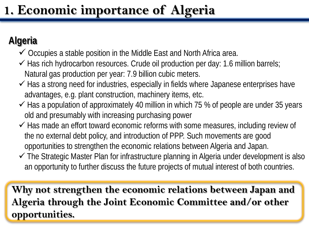### **1. Economic importance of Algeria**

### **Algeria**

- $\checkmark$  Occupies a stable position in the Middle East and North Africa area.
- $\checkmark$  Has rich hydrocarbon resources. Crude oil production per day: 1.6 million barrels; Natural gas production per year: 7.9 billion cubic meters.
- $\checkmark$  Has a strong need for industries, especially in fields where Japanese enterprises have advantages, e.g. plant construction, machinery items, etc.
- $\checkmark$  Has a population of approximately 40 million in which 75 % of people are under 35 years old and presumably with increasing purchasing power
- $\checkmark$  Has made an effort toward economic reforms with some measures, including review of the no external debt policy, and introduction of PPP. Such movements are good opportunities to strengthen the economic relations between Algeria and Japan.
- The Strategic Master Plan for infrastructure planning in Algeria under development is also an opportunity to further discuss the future projects of mutual interest of both countries.

**Why not strengthen the economic relations between Japan and Algeria through the Joint Economic Committee and/or other opportunities.**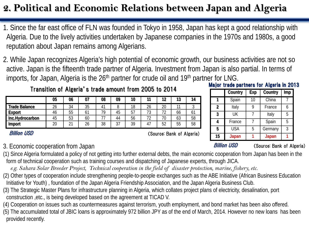### **2. Political and Economic Relations between Japan and Algeria**

1. Since the far east office of FLN was founded in Tokyo in 1958, Japan has kept a good relationship with Algeria. Due to the lively activities undertaken by Japanese companies in the 1970s and 1980s, a good reputation about Japan remains among Algerians.

2. While Japan recognizes Algeria's high potential of economic growth, our business activities are not so active. Japan is the fifteenth trade partner of Algeria. Investment from Japan is also partial. In terms of imports, for Japan, Algeria is the 26<sup>th</sup> partner for crude oil and 19<sup>th</sup> partner for LNG.

#### Transition of Algeria's trade amount from 2005 to 2014

|                      | 05           | 06     | 07 | 08 | 09        | 10        |    | 12               | J  | 14      |
|----------------------|--------------|--------|----|----|-----------|-----------|----|------------------|----|---------|
| <b>Trade Balance</b> | $\sim$<br>20 | 34     | 35 | 11 |           | 18        | 26 | 20               | -  | J       |
| <b>Export</b>        | 46           | 55     | 61 | 79 | 45        | 57<br>ر ن | 73 | ∸                | 66 | ้ำ<br>6 |
| Inc.Hydrocarbon      | 45           | 53     | 60 |    | 44        | 56        | ┐∩ | ℸ⋂<br>'U         | 63 | 58      |
| <b>Import</b>        | 20           | $\sim$ | 26 | 38 | ົາ<br>ر ک | 39        |    | r o<br>ь.<br>IJZ | 55 | 58      |

#### Major trade partners for Algeria in 2013

|                | Country    | Exp | Country | Imp |
|----------------|------------|-----|---------|-----|
|                | Spain      | 10  | China   |     |
| $\overline{2}$ | Italy      |     | France  |     |
| 3              | UK         |     | Italy   | 5   |
| 4              | France     |     | Spain   | 5   |
| 5              | <b>USA</b> | 5   | Germany | 3   |
| 15             | Japan      |     | Japan   |     |

**Billion USD** (Source: Bank of Algeria)

#### Billion USD

(Source: Bank of Algeria)

#### 3. Economic cooperation from Japan

(1) Since Algeria formulated a policy of not getting into further external debts, the main economic cooperation from Japan has been in the form of technical cooperation such as training courses and dispatching of Japanese experts, through JICA.

*e.g. Sahara Solar Breeder Project, Technical cooperation in the field of disaster protection, marine, fishery, etc.* 

- (2) Other types of cooperation include strengthening people-to-people exchanges such as the ABE Initiative (African Business Education Initiative for Youth) , foundation of the Japan Algeria Friendship Association, and the Japan Algeria Business Club.
- (3) The Strategic Master Plans for infrastructure planning in Algeria, which collates project plans of electricity, desalination, port construction ,etc., is being developed based on the agreement at TICAD V.

(4) Cooperation on issues such as countermeasures against terrorism, youth employment, and bond market has been also offered.

(5) The accumulated total of JBIC loans is approximately 972 billion JPY as of the end of March, 2014. However no new loans has been provided recently.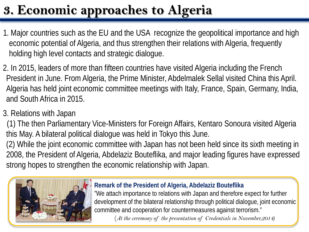## **3. Economic approaches to Algeria**

- 1. Major countries such as the EU and the USA recognize the geopolitical importance and high economic potential of Algeria, and thus strengthen their relations with Algeria, frequently holding high level contacts and strategic dialogue.
- 2. In 2015, leaders of more than fifteen countries have visited Algeria including the French President in June. From Algeria, the Prime Minister, Abdelmalek Sellal visited China this April. Algeria has held joint economic committee meetings with Italy, France, Spain, Germany, India, and South Africa in 2015.
- 3. Relations with Japan
- (1) The then Parliamentary Vice-Ministers for Foreign Affairs, Kentaro Sonoura visited Algeria this May. A bilateral political dialogue was held in Tokyo this June.
- (2) While the joint economic committee with Japan has not been held since its sixth meeting in 2008, the President of Algeria, Abdelaziz Bouteflika, and major leading figures have expressed strong hopes to strengthen the economic relationship with Japan.



#### **Remark of the President of Algeria, Abdelaziz Bouteflika**

"We attach importance to relations with Japan and therefore expect for further development of the bilateral relationship through political dialogue, joint economic committee and cooperation for countermeasures against terrorism."

(*At the ceremony of the presentation of Credentials in November,2014)*